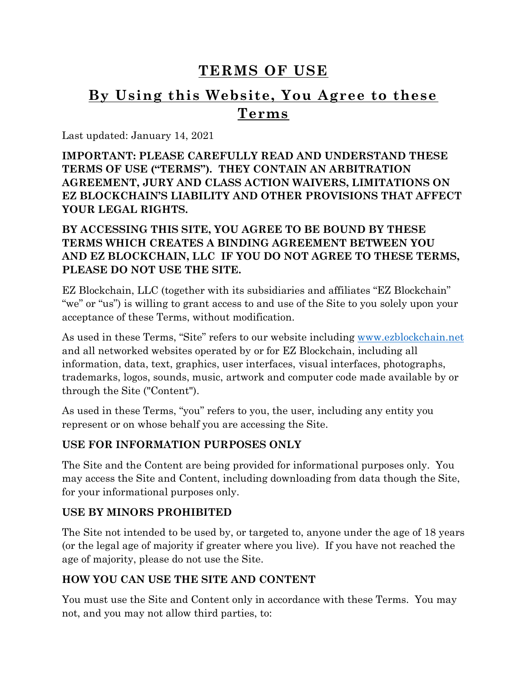# **TERMS OF USE**

# **By Using this Website, You Agree to these Terms**

Last updated: January 14, 2021

**IMPORTANT: PLEASE CAREFULLY READ AND UNDERSTAND THESE TERMS OF USE ("TERMS"). THEY CONTAIN AN ARBITRATION AGREEMENT, JURY AND CLASS ACTION WAIVERS, LIMITATIONS ON EZ BLOCKCHAIN'S LIABILITY AND OTHER PROVISIONS THAT AFFECT YOUR LEGAL RIGHTS.** 

### **BY ACCESSING THIS SITE, YOU AGREE TO BE BOUND BY THESE TERMS WHICH CREATES A BINDING AGREEMENT BETWEEN YOU AND EZ BLOCKCHAIN, LLC IF YOU DO NOT AGREE TO THESE TERMS, PLEASE DO NOT USE THE SITE.**

EZ Blockchain, LLC (together with its subsidiaries and affiliates "EZ Blockchain" "we" or "us") is willing to grant access to and use of the Site to you solely upon your acceptance of these Terms, without modification.

As used in these Terms, "Site" refers to our website including [www.ezblockchain.net](http://www.ezblockchain.net/) and all networked websites operated by or for EZ Blockchain, including all information, data, text, graphics, user interfaces, visual interfaces, photographs, trademarks, logos, sounds, music, artwork and computer code made available by or through the Site ("Content").

As used in these Terms, "you" refers to you, the user, including any entity you represent or on whose behalf you are accessing the Site.

### **USE FOR INFORMATION PURPOSES ONLY**

The Site and the Content are being provided for informational purposes only. You may access the Site and Content, including downloading from data though the Site, for your informational purposes only.

### **USE BY MINORS PROHIBITED**

The Site not intended to be used by, or targeted to, anyone under the age of 18 years (or the legal age of majority if greater where you live). If you have not reached the age of majority, please do not use the Site.

# **HOW YOU CAN USE THE SITE AND CONTENT**

You must use the Site and Content only in accordance with these Terms. You may not, and you may not allow third parties, to: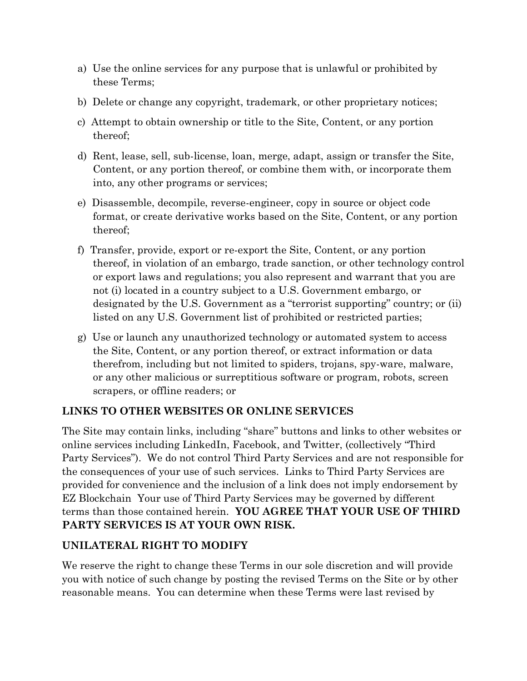- a) Use the online services for any purpose that is unlawful or prohibited by these Terms;
- b) Delete or change any copyright, trademark, or other proprietary notices;
- c) Attempt to obtain ownership or title to the Site, Content, or any portion thereof;
- d) Rent, lease, sell, sub-license, loan, merge, adapt, assign or transfer the Site, Content, or any portion thereof, or combine them with, or incorporate them into, any other programs or services;
- e) Disassemble, decompile, reverse-engineer, copy in source or object code format, or create derivative works based on the Site, Content, or any portion thereof;
- f) Transfer, provide, export or re-export the Site, Content, or any portion thereof, in violation of an embargo, trade sanction, or other technology control or export laws and regulations; you also represent and warrant that you are not (i) located in a country subject to a U.S. Government embargo, or designated by the U.S. Government as a "terrorist supporting" country; or (ii) listed on any U.S. Government list of prohibited or restricted parties;
- g) Use or launch any unauthorized technology or automated system to access the Site, Content, or any portion thereof, or extract information or data therefrom, including but not limited to spiders, trojans, spy-ware, malware, or any other malicious or surreptitious software or program, robots, screen scrapers, or offline readers; or

### **LINKS TO OTHER WEBSITES OR ONLINE SERVICES**

The Site may contain links, including "share" buttons and links to other websites or online services including LinkedIn, Facebook, and Twitter, (collectively "Third Party Services"). We do not control Third Party Services and are not responsible for the consequences of your use of such services. Links to Third Party Services are provided for convenience and the inclusion of a link does not imply endorsement by EZ Blockchain Your use of Third Party Services may be governed by different terms than those contained herein. **YOU AGREE THAT YOUR USE OF THIRD PARTY SERVICES IS AT YOUR OWN RISK.**

### **UNILATERAL RIGHT TO MODIFY**

We reserve the right to change these Terms in our sole discretion and will provide you with notice of such change by posting the revised Terms on the Site or by other reasonable means. You can determine when these Terms were last revised by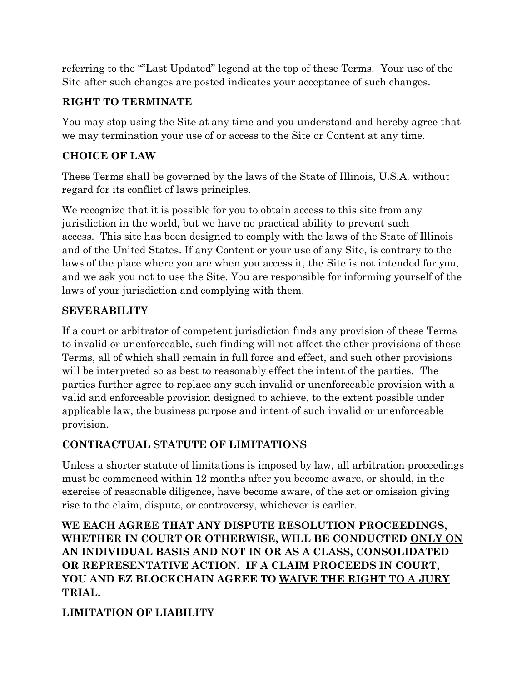referring to the ""Last Updated" legend at the top of these Terms. Your use of the Site after such changes are posted indicates your acceptance of such changes.

# **RIGHT TO TERMINATE**

You may stop using the Site at any time and you understand and hereby agree that we may termination your use of or access to the Site or Content at any time.

# **CHOICE OF LAW**

These Terms shall be governed by the laws of the State of Illinois, U.S.A. without regard for its conflict of laws principles.

We recognize that it is possible for you to obtain access to this site from any jurisdiction in the world, but we have no practical ability to prevent such access. This site has been designed to comply with the laws of the State of Illinois and of the United States. If any Content or your use of any Site, is contrary to the laws of the place where you are when you access it, the Site is not intended for you, and we ask you not to use the Site. You are responsible for informing yourself of the laws of your jurisdiction and complying with them.

# **SEVERABILITY**

If a court or arbitrator of competent jurisdiction finds any provision of these Terms to invalid or unenforceable, such finding will not affect the other provisions of these Terms, all of which shall remain in full force and effect, and such other provisions will be interpreted so as best to reasonably effect the intent of the parties. The parties further agree to replace any such invalid or unenforceable provision with a valid and enforceable provision designed to achieve, to the extent possible under applicable law, the business purpose and intent of such invalid or unenforceable provision.

# **CONTRACTUAL STATUTE OF LIMITATIONS**

Unless a shorter statute of limitations is imposed by law, all arbitration proceedings must be commenced within 12 months after you become aware, or should, in the exercise of reasonable diligence, have become aware, of the act or omission giving rise to the claim, dispute, or controversy, whichever is earlier.

### **WE EACH AGREE THAT ANY DISPUTE RESOLUTION PROCEEDINGS, WHETHER IN COURT OR OTHERWISE, WILL BE CONDUCTED ONLY ON AN INDIVIDUAL BASIS AND NOT IN OR AS A CLASS, CONSOLIDATED OR REPRESENTATIVE ACTION. IF A CLAIM PROCEEDS IN COURT, YOU AND EZ BLOCKCHAIN AGREE TO WAIVE THE RIGHT TO A JURY TRIAL.**

# **LIMITATION OF LIABILITY**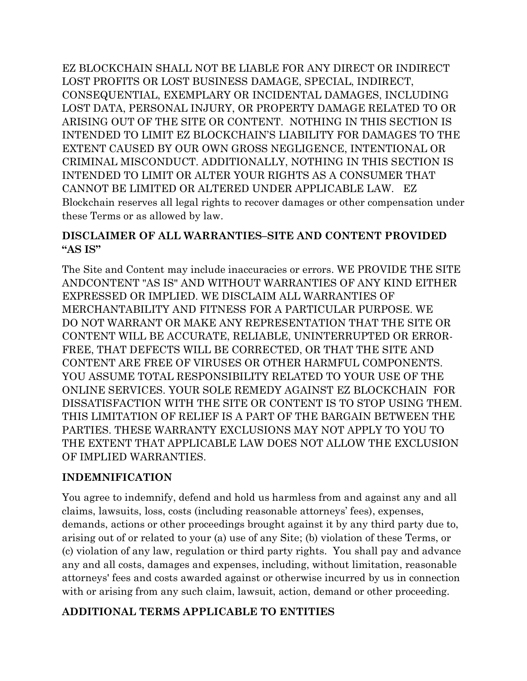EZ BLOCKCHAIN SHALL NOT BE LIABLE FOR ANY DIRECT OR INDIRECT LOST PROFITS OR LOST BUSINESS DAMAGE, SPECIAL, INDIRECT, CONSEQUENTIAL, EXEMPLARY OR INCIDENTAL DAMAGES, INCLUDING LOST DATA, PERSONAL INJURY, OR PROPERTY DAMAGE RELATED TO OR ARISING OUT OF THE SITE OR CONTENT. NOTHING IN THIS SECTION IS INTENDED TO LIMIT EZ BLOCKCHAIN'S LIABILITY FOR DAMAGES TO THE EXTENT CAUSED BY OUR OWN GROSS NEGLIGENCE, INTENTIONAL OR CRIMINAL MISCONDUCT. ADDITIONALLY, NOTHING IN THIS SECTION IS INTENDED TO LIMIT OR ALTER YOUR RIGHTS AS A CONSUMER THAT CANNOT BE LIMITED OR ALTERED UNDER APPLICABLE LAW. EZ Blockchain reserves all legal rights to recover damages or other compensation under these Terms or as allowed by law.

#### **DISCLAIMER OF ALL WARRANTIES–SITE AND CONTENT PROVIDED "AS IS"**

The Site and Content may include inaccuracies or errors. WE PROVIDE THE SITE ANDCONTENT "AS IS" AND WITHOUT WARRANTIES OF ANY KIND EITHER EXPRESSED OR IMPLIED. WE DISCLAIM ALL WARRANTIES OF MERCHANTABILITY AND FITNESS FOR A PARTICULAR PURPOSE. WE DO NOT WARRANT OR MAKE ANY REPRESENTATION THAT THE SITE OR CONTENT WILL BE ACCURATE, RELIABLE, UNINTERRUPTED OR ERROR-FREE, THAT DEFECTS WILL BE CORRECTED, OR THAT THE SITE AND CONTENT ARE FREE OF VIRUSES OR OTHER HARMFUL COMPONENTS. YOU ASSUME TOTAL RESPONSIBILITY RELATED TO YOUR USE OF THE ONLINE SERVICES. YOUR SOLE REMEDY AGAINST EZ BLOCKCHAIN FOR DISSATISFACTION WITH THE SITE OR CONTENT IS TO STOP USING THEM. THIS LIMITATION OF RELIEF IS A PART OF THE BARGAIN BETWEEN THE PARTIES. THESE WARRANTY EXCLUSIONS MAY NOT APPLY TO YOU TO THE EXTENT THAT APPLICABLE LAW DOES NOT ALLOW THE EXCLUSION OF IMPLIED WARRANTIES.

### **INDEMNIFICATION**

You agree to indemnify, defend and hold us harmless from and against any and all claims, lawsuits, loss, costs (including reasonable attorneys' fees), expenses, demands, actions or other proceedings brought against it by any third party due to, arising out of or related to your (a) use of any Site; (b) violation of these Terms, or (c) violation of any law, regulation or third party rights. You shall pay and advance any and all costs, damages and expenses, including, without limitation, reasonable attorneys' fees and costs awarded against or otherwise incurred by us in connection with or arising from any such claim, lawsuit, action, demand or other proceeding.

### **ADDITIONAL TERMS APPLICABLE TO ENTITIES**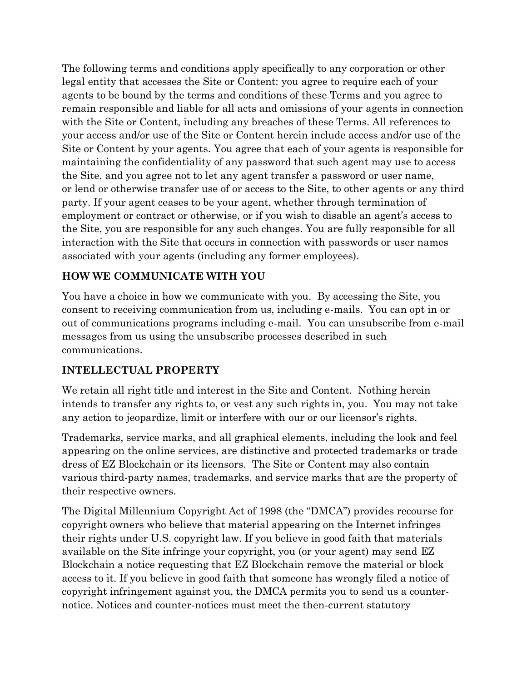The following terms and conditions apply specifically to any corporation or other legal entity that accesses the Site or Content: you agree to require each of your agents to be bound by the terms and conditions of these Terms and you agree to remain responsible and liable for all acts and omissions of your agents in connection with the Site or Content, including any breaches of these Terms. All references to your access and/or use of the Site or Content herein include access and/or use of the Site or Content by your agents. You agree that each of your agents is responsible for maintaining the confidentiality of any password that such agent may use to access the Site, and you agree not to let any agent transfer a password or user name, or lend or otherwise transfer use of or access to the Site, to other agents or any third party. If your agent ceases to be your agent, whether through termination of employment or contract or otherwise, or if you wish to disable an agent's access to the Site, you are responsible for any such changes. You are fully responsible for all interaction with the Site that occurs in connection with passwords or user names associated with your agents (including any former employees).

# **HOW WE COMMUNICATE WITH YOU**

You have a choice in how we communicate with you. By accessing the Site, you consent to receiving communication from us, including e-mails. You can opt in or out of communications programs including e-mail. You can unsubscribe from e-mail messages from us using the unsubscribe processes described in such communications.

# **INTELLECTUAL PROPERTY**

We retain all right title and interest in the Site and Content. Nothing herein intends to transfer any rights to, or vest any such rights in, you. You may not take any action to jeopardize, limit or interfere with our or our licensor's rights.

Trademarks, service marks, and all graphical elements, including the look and feel appearing on the online services, are distinctive and protected trademarks or trade dress of EZ Blockchain or its licensors. The Site or Content may also contain various third-party names, trademarks, and service marks that are the property of their respective owners.

The Digital Millennium Copyright Act of 1998 (the "DMCA") provides recourse for copyright owners who believe that material appearing on the Internet infringes their rights under U.S. copyright law. If you believe in good faith that materials available on the Site infringe your copyright, you (or your agent) may send EZ Blockchain a notice requesting that EZ Blockchain remove the material or block access to it. If you believe in good faith that someone has wrongly filed a notice of copyright infringement against you, the DMCA permits you to send us a counternotice. Notices and counter-notices must meet the then-current statutory